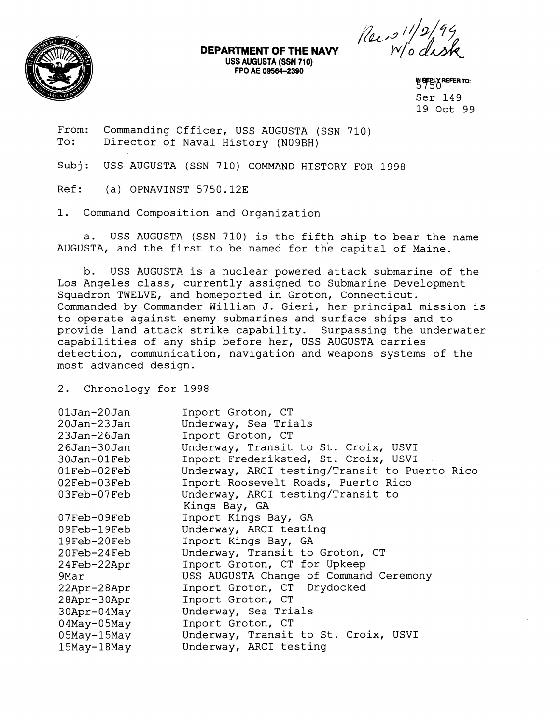

**DEPARTMENT OF THE NAVY**<br>USS AUGUSTA (SSN 710) **FPO AE 0956h-2390** '

Pec <sup>311/2/94</sup><br>Wo disk

**BEPLY REFER TO:** Ser 149 19 Oct 99

From: Commanding Officer, USS AUGUSTA (SSN 710)<br>To: Director of Naval History (N09RH) Director of Naval History (N09BH)

Subj: USS AUGUSTA (SSN 710) COMMAND HISTORY FOR 1998

Ref: (a) OPNAVINST 5750.12E

1. Command Composition and Organization

a. USS AUGUSTA (SSN 710) is the fifth ship to bear the name AUGUSTA, and the first to be named for the capital of Maine.

b. USS AUGUSTA is a nuclear powered attack submarine of the Los Angeles class, currently assigned to Submarine Development Squadron TWELVE, and homeported in Groton, Connecticut. Commanded by Commander William J. Gieri, her principal mission is to operate against enemy submarines and surface ships and to provide land attack strike capability. Surpassing the underwater capabilities of any ship before her, USS AUGUSTA carries detection, comunication, navigation and weapons systems of the most advanced design.

2. Chronology for 1998

| $01$ Jan- $20$ Jan<br>20Jan-23Jan | Inport Groton, CT<br>Underway, Sea Trials     |
|-----------------------------------|-----------------------------------------------|
| 23Jan-26Jan                       | Inport Groton, CT                             |
| 26Jan-30Jan                       | Underway, Transit to St. Croix, USVI          |
| $30$ Jan- $01$ Feb                | Inport Frederiksted, St. Croix, USVI          |
| $01 \text{Feb}-02 \text{Feb}$     | Underway, ARCI testing/Transit to Puerto Rico |
| $02Feb-03Feb$                     | Inport Roosevelt Roads, Puerto Rico           |
| 03Feb-07Feb                       | Underway, ARCI testing/Transit to             |
|                                   | Kings Bay, GA                                 |
| 07Feb-09Feb                       | Inport Kings Bay, GA                          |
| 09Feb-19Feb                       | Underway, ARCI testing                        |
| 19Feb-20Feb                       | Inport Kings Bay, GA                          |
| 20Feb-24Feb                       | Underway, Transit to Groton, CT               |
| 24Feb-22Apr                       | Inport Groton, CT for Upkeep                  |
| 9Mar                              | USS AUGUSTA Change of Command Ceremony        |
| 22Apr-28Apr                       | Inport Groton, CT Drydocked                   |
| 28Apr-30Apr                       | Inport Groton, CT                             |
| 30Apr-04May                       | Underway, Sea Trials                          |
| $04$ May- $05$ May                | Inport Groton, CT                             |
| 05May-15May                       | Underway, Transit to St. Croix, USVI          |
| 15May-18May                       | Underway, ARCI testing                        |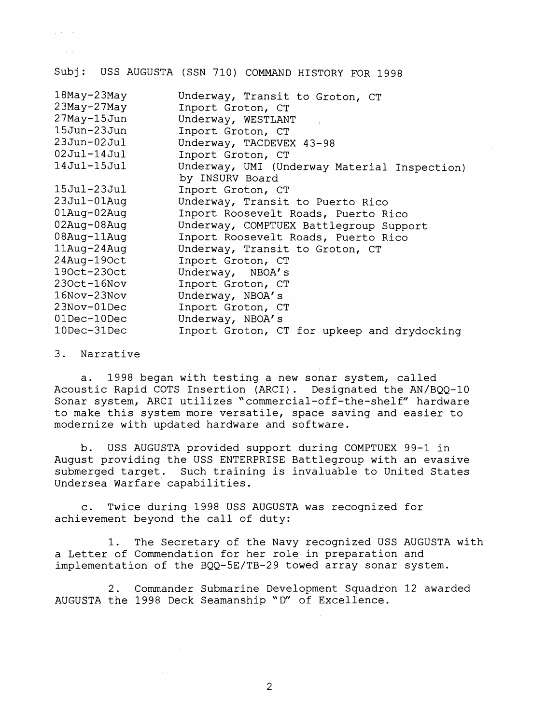$\mathcal{L}^{\text{max}}$  , where  $\mathcal{L}^{\text{max}}$ 

 $\chi$  ,  $\chi$  ,  $\chi$  ,  $\chi$ 

Subj: USS AUGUSTA (SSN 710) COMMAND HISTORY FOR 1998

| Underway, Transit to Groton, CT              |
|----------------------------------------------|
| Inport Groton, CT                            |
| Underway, WESTLANT                           |
| Inport Groton, CT                            |
| Underway, TACDEVEX 43-98                     |
| Inport Groton, CT                            |
| Underway, UMI (Underway Material Inspection) |
| by INSURV Board                              |
| Inport Groton, CT                            |
| Underway, Transit to Puerto Rico             |
| Inport Roosevelt Roads, Puerto Rico          |
| Underway, COMPTUEX Battlegroup Support       |
| Inport Roosevelt Roads, Puerto Rico          |
| Underway, Transit to Groton, CT              |
| Inport Groton, CT                            |
| Underway, NBOA's                             |
| Inport Groton, CT                            |
| Underway, NBOA's                             |
| Inport Groton, CT                            |
| Underway, NBOA's                             |
| Inport Groton, CT for upkeep and drydocking  |
|                                              |

3. Narrative

a. 1998 began with testing a new sonar system, called Acoustic Rapid COTS Insertion (ARCI). Designated the AN/BQQ-10 Sonar system, ARCI utilizes 'commercial-off-the-shelf" hardware to make this system more versatile, space saving and easier to modernize with updated hardware and software.

b. USS AUGUSTA provided support during COMPTUEX 99-1 in August providing the USS ENTERPRISE Battlegroup with an evasive submerged target. Such training is invaluable to United States Undersea Warfare capabilities.

c. Twice during 1998 USS AUGUSTA was recognized for achievement beyond the call of duty:

1. The Secretary of the Navy recognized USS AUGUSTA with a Letter of Commendation for her role in preparation and implementation of the BQQ-5E/TB-29 towed array sonar system.

2. Commander Submarine Development Squadron 12 awarded AUGUSTA the 1998 Deck Seamanship "D" of Excellence.